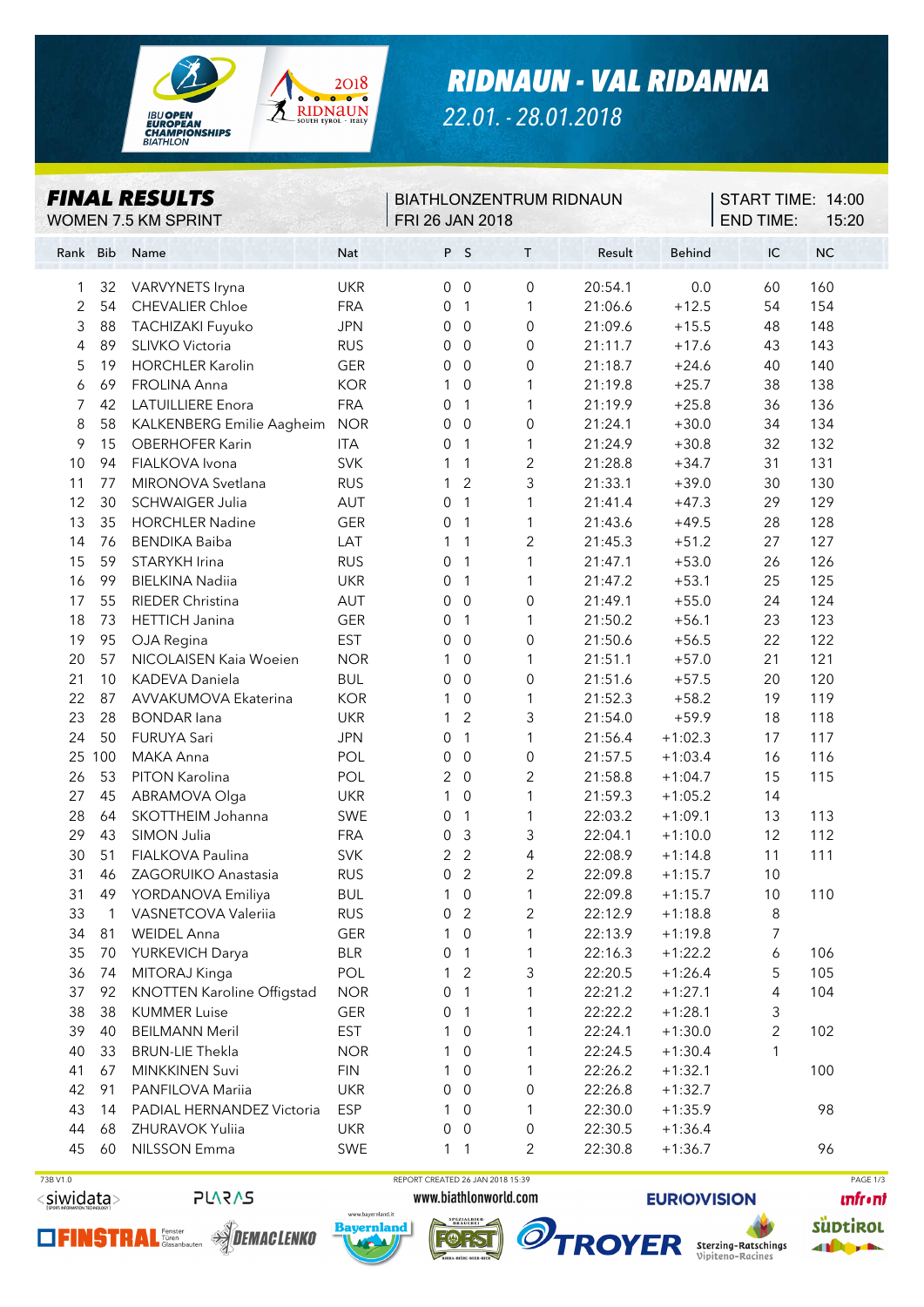

*RIDNAUN - VAL RIDANNA*

*22.01. - 28.01.2018*

| <b>FINAL RESULTS</b><br>WOMEN 7.5 KM SPRINT |              |                                   |            | <b>BIATHLONZENTRUM RIDNAUN</b><br><b>FRI 26 JAN 2018</b> |                  |                     |         |               | START TIME: 14:00<br><b>END TIME:</b><br>15:20 |     |  |
|---------------------------------------------|--------------|-----------------------------------|------------|----------------------------------------------------------|------------------|---------------------|---------|---------------|------------------------------------------------|-----|--|
| Rank Bib                                    |              | Name                              | Nat        |                                                          | P S              | $\mathsf T$         | Result  | <b>Behind</b> | IC                                             | NC  |  |
| 1                                           | 32           | VARVYNETS Iryna                   | <b>UKR</b> | 0                                                        | $\overline{0}$   | 0                   | 20:54.1 | 0.0           | 60                                             | 160 |  |
| 2                                           | 54           | <b>CHEVALIER Chloe</b>            | <b>FRA</b> | 0                                                        | $\mathbf{1}$     | 1                   | 21:06.6 | $+12.5$       | 54                                             | 154 |  |
| 3                                           | 88           | TACHIZAKI Fuyuko                  | <b>JPN</b> | 0                                                        | $\overline{0}$   | 0                   | 21:09.6 | $+15.5$       | 48                                             | 148 |  |
| 4                                           | 89           | SLIVKO Victoria                   | <b>RUS</b> | 0                                                        | $\overline{0}$   | $\boldsymbol{0}$    | 21:11.7 | $+17.6$       | 43                                             | 143 |  |
| 5                                           | 19           | <b>HORCHLER Karolin</b>           | GER        | $\mathbf 0$                                              | $\overline{0}$   | $\mbox{O}$          | 21:18.7 | $+24.6$       | 40                                             | 140 |  |
| 6                                           | 69           | FROLINA Anna                      | <b>KOR</b> | 1                                                        | $\boldsymbol{0}$ | 1                   | 21:19.8 | $+25.7$       | 38                                             | 138 |  |
| 7                                           | 42           | <b>LATUILLIERE Enora</b>          | <b>FRA</b> | 0                                                        | $\mathbf{1}$     | 1                   | 21:19.9 | $+25.8$       | 36                                             | 136 |  |
| 8                                           | 58           | KALKENBERG Emilie Aagheim         | <b>NOR</b> | 0                                                        | $\boldsymbol{0}$ | $\boldsymbol{0}$    | 21:24.1 | $+30.0$       | 34                                             | 134 |  |
| 9                                           | 15           | OBERHOFER Karin                   | <b>ITA</b> | 0                                                        | $\mathbf{1}$     | 1                   | 21:24.9 | $+30.8$       | 32                                             | 132 |  |
| 10                                          | 94           | FIALKOVA Ivona                    | <b>SVK</b> | 1                                                        | $\mathbf{1}$     | $\overline{c}$      | 21:28.8 | $+34.7$       | 31                                             | 131 |  |
| 11                                          | 77           | MIRONOVA Svetlana                 | <b>RUS</b> | 1                                                        | $\overline{c}$   | 3                   | 21:33.1 | $+39.0$       | 30                                             | 130 |  |
| 12                                          | 30           | <b>SCHWAIGER Julia</b>            | AUT        | 0                                                        | 1                | 1                   | 21:41.4 | $+47.3$       | 29                                             | 129 |  |
| 13                                          | 35           | <b>HORCHLER Nadine</b>            | <b>GER</b> | 0                                                        | $\mathbf{1}$     | 1                   | 21:43.6 | $+49.5$       | 28                                             | 128 |  |
| 14                                          | 76           | <b>BENDIKA Baiba</b>              | LAT        | 1                                                        | $\mathbf{1}$     | $\mathbf{2}$        | 21:45.3 | $+51.2$       | 27                                             | 127 |  |
| 15                                          | 59           | STARYKH Irina                     | <b>RUS</b> | 0                                                        | $\mathbf{1}$     | 1                   | 21:47.1 | $+53.0$       | 26                                             | 126 |  |
| 16                                          | 99           | <b>BIELKINA Nadiia</b>            | <b>UKR</b> | 0                                                        | $\mathbf{1}$     | 1                   | 21:47.2 | $+53.1$       | 25                                             | 125 |  |
| 17                                          | 55           | RIEDER Christina                  | AUT        | 0                                                        | $\boldsymbol{0}$ | $\boldsymbol{0}$    | 21:49.1 | $+55.0$       | 24                                             | 124 |  |
| 18                                          | 73           | <b>HETTICH Janina</b>             | <b>GER</b> | 0                                                        | $\mathbf{1}$     | 1                   | 21:50.2 | $+56.1$       | 23                                             | 123 |  |
| 19                                          | 95           | OJA Regina                        | <b>EST</b> | 0                                                        | $\overline{0}$   | 0                   | 21:50.6 | $+56.5$       | 22                                             | 122 |  |
| 20                                          | 57           | NICOLAISEN Kaia Woeien            | <b>NOR</b> | 1                                                        | $\mathbf 0$      | 1                   | 21:51.1 | $+57.0$       | 21                                             | 121 |  |
| 21                                          | 10           | KADEVA Daniela                    | <b>BUL</b> | 0                                                        | $\overline{0}$   | $\boldsymbol{0}$    | 21:51.6 | $+57.5$       | 20                                             | 120 |  |
| 22                                          | 87           | AVVAKUMOVA Ekaterina              | <b>KOR</b> | 1                                                        | $\mathbf 0$      | 1                   | 21:52.3 | $+58.2$       | 19                                             | 119 |  |
| 23                                          | 28           | <b>BONDAR</b> lana                | <b>UKR</b> | 1                                                        | $\overline{2}$   | 3                   | 21:54.0 | $+59.9$       | 18                                             | 118 |  |
| 24                                          | 50           | FURUYA Sari                       | <b>JPN</b> | $\mathbf 0$                                              | $\mathbf{1}$     | 1                   | 21:56.4 | $+1:02.3$     | 17                                             | 117 |  |
| 25                                          | 100          | MAKA Anna                         | POL        | $\mathbf 0$                                              | $\boldsymbol{0}$ | $\mathsf{O}\xspace$ | 21:57.5 | $+1:03.4$     | 16                                             | 116 |  |
| 26                                          | 53           | PITON Karolina                    | POL        | $\overline{2}$                                           | $\boldsymbol{0}$ | $\overline{c}$      | 21:58.8 | $+1:04.7$     | 15                                             | 115 |  |
| 27                                          | 45           | ABRAMOVA Olga                     | <b>UKR</b> | 1                                                        | $\boldsymbol{0}$ | $\mathbf{1}$        | 21:59.3 | $+1:05.2$     | 14                                             |     |  |
| 28                                          | 64           | SKOTTHEIM Johanna                 | SWE        | 0                                                        | $\mathbf{1}$     | 1                   | 22:03.2 | $+1:09.1$     | 13                                             | 113 |  |
| 29                                          | 43           | SIMON Julia                       | <b>FRA</b> | $\mathbf 0$                                              | $\mathsf 3$      | 3                   | 22:04.1 | $+1:10.0$     | 12                                             | 112 |  |
| 30                                          | 51           | FIALKOVA Paulina                  | <b>SVK</b> | 2                                                        | $\overline{2}$   | $\overline{4}$      | 22:08.9 | $+1:14.8$     | 11                                             | 111 |  |
| 31                                          |              | 46 ZAGORUIKO Anastasia            | <b>RUS</b> | $\Omega$                                                 | 2                | $\overline{2}$      | 22:09.8 | $+1:15.7$     | 10                                             |     |  |
| 31                                          | 49           | YORDANOVA Emiliya                 | <b>BUL</b> | 1                                                        | 0                | 1                   | 22:09.8 | $+1:15.7$     | 10                                             | 110 |  |
| 33                                          | $\mathbf{1}$ | VASNETCOVA Valeriia               | <b>RUS</b> | 0                                                        | $\overline{c}$   | 2                   | 22:12.9 | $+1:18.8$     | 8                                              |     |  |
| 34                                          | 81           | <b>WEIDEL Anna</b>                | GER        | 1                                                        | $\mathbf 0$      | 1                   | 22:13.9 | $+1:19.8$     | 7                                              |     |  |
| 35                                          | 70           | YURKEVICH Darya                   | <b>BLR</b> | 0                                                        | 1                | 1                   | 22:16.3 | $+1:22.2$     | 6                                              | 106 |  |
| 36                                          | 74           | MITORAJ Kinga                     | POL        |                                                          | $\overline{2}$   | 3                   | 22:20.5 | $+1:26.4$     | 5                                              | 105 |  |
| 37                                          | 92           | <b>KNOTTEN Karoline Offigstad</b> | <b>NOR</b> | 0                                                        | 1                | 1                   | 22:21.2 | $+1:27.1$     | 4                                              | 104 |  |
| 38                                          | 38           | <b>KUMMER Luise</b>               | GER        | 0                                                        | 1                | 1                   | 22:22.2 | $+1:28.1$     | 3                                              |     |  |
| 39                                          | 40           | <b>BEILMANN Meril</b>             | <b>EST</b> |                                                          | $\mathbf 0$      | 1                   | 22:24.1 | $+1:30.0$     | $\overline{c}$                                 | 102 |  |
| 40                                          | 33           | <b>BRUN-LIE Thekla</b>            | <b>NOR</b> |                                                          | 0                | 1                   | 22:24.5 | $+1:30.4$     | 1                                              |     |  |
| 41                                          | 67           | <b>MINKKINEN Suvi</b>             | <b>FIN</b> |                                                          | $\mathbf 0$      | 1                   | 22:26.2 | $+1:32.1$     |                                                | 100 |  |
| 42                                          | 91           | PANFILOVA Mariia                  | <b>UKR</b> | 0                                                        | 0                | 0                   | 22:26.8 | $+1:32.7$     |                                                |     |  |
| 43                                          | 14           | PADIAL HERNANDEZ Victoria         | <b>ESP</b> | 1                                                        | $\mathbf 0$      | 1                   | 22:30.0 | $+1:35.9$     |                                                | 98  |  |
| 44                                          | 68           | ZHURAVOK Yuliia                   | <b>UKR</b> | 0                                                        | $\mathbf 0$      | 0                   | 22:30.5 | $+1:36.4$     |                                                |     |  |
| 45                                          | 60           | NILSSON Emma                      | SWE        | 1                                                        | $\overline{1}$   | $\overline{2}$      | 22:30.8 | $+1:36.7$     |                                                | 96  |  |









 $\overline{\phantom{a}}$ 

**EURIOVISION** 

**TROYER** Sterzing-Ratschings

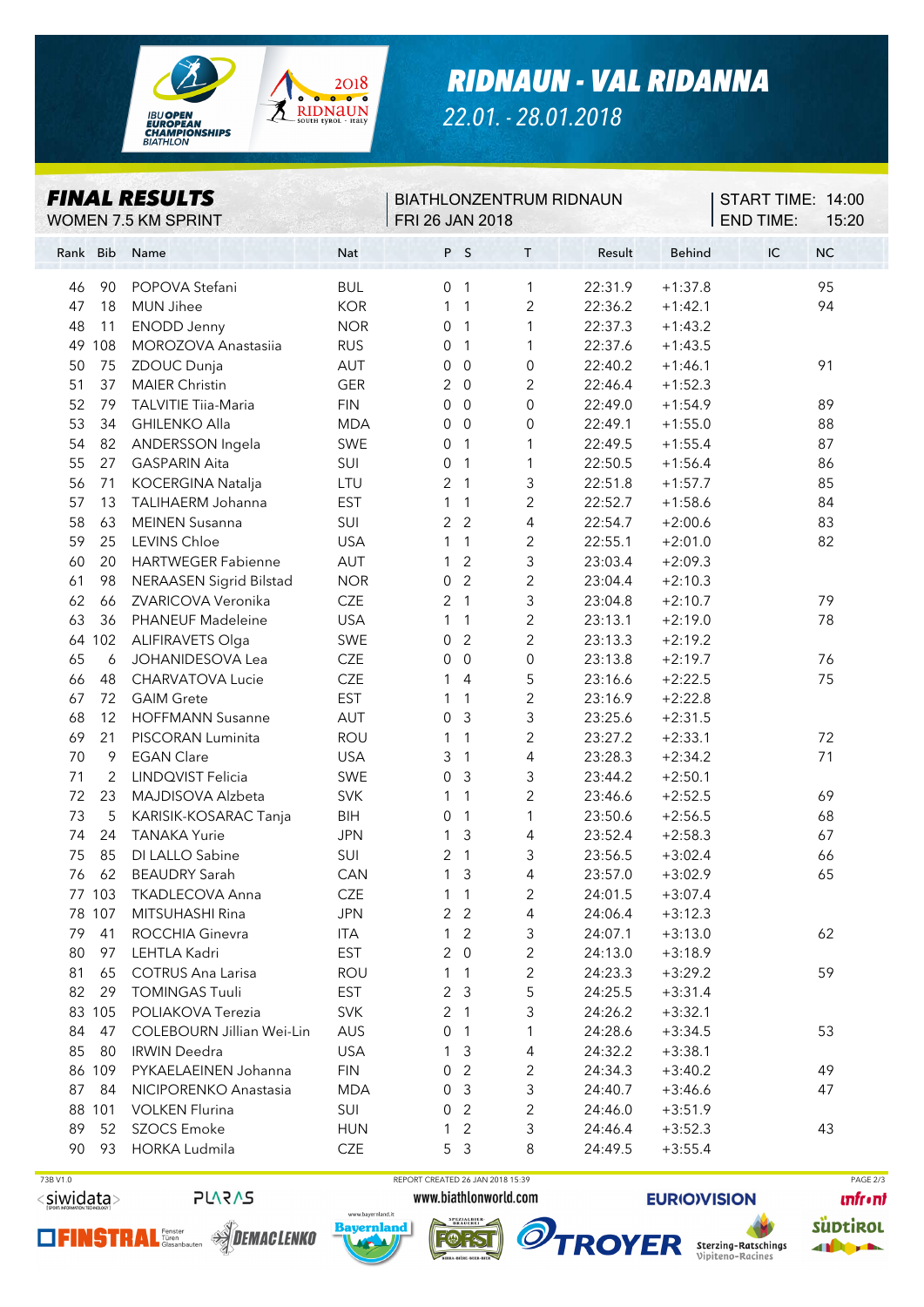

*RIDNAUN - VAL RIDANNA*

*22.01. - 28.01.2018*

| P S<br>$\mathsf T$<br>Result<br><b>Behind</b><br>IC<br><b>NC</b><br><b>Bib</b><br>Nat<br>Name<br>Rank<br>95<br>POPOVA Stefani<br><b>BUL</b><br>22:31.9<br>$+1:37.8$<br>90<br>0<br>$\overline{1}$<br>1<br>46<br><b>KOR</b><br>94<br>47<br>18<br><b>MUN Jihee</b><br>2<br>22:36.2<br>$+1:42.1$<br>$\mathbf{1}$<br>$\mathbf{1}$<br><b>NOR</b><br><b>ENODD Jenny</b><br>1<br>22:37.3<br>$+1:43.2$<br>48<br>11<br>0<br>$\overline{1}$<br>49<br>108<br><b>MOROZOVA Anastasiia</b><br><b>RUS</b><br>1<br>22:37.6<br>$+1:43.5$<br>0<br>$\overline{1}$<br>22:40.2<br>91<br>75<br>ZDOUC Dunja<br>AUT<br>0<br>$\mathbf 0$<br>0<br>$+1:46.1$<br>50<br>2<br>37<br><b>MAIER Christin</b><br><b>GER</b><br>2<br>$\overline{0}$<br>22:46.4<br>$+1:52.3$<br>51<br>0<br>$\boldsymbol{0}$<br>$\boldsymbol{0}$<br>89<br>52<br>79<br><b>TALVITIE Tiia-Maria</b><br><b>FIN</b><br>22:49.0<br>$+1:54.9$<br>0<br>53<br>34<br><b>GHILENKO Alla</b><br><b>MDA</b><br>$\overline{0}$<br>$\overline{0}$<br>22:49.1<br>$+1:55.0$<br>88<br>ANDERSSON Ingela<br>87<br>54<br>82<br>SWE<br>0<br>$\mathbf{1}$<br>1<br>22:49.5<br>$+1:55.4$<br>27<br>55<br><b>GASPARIN Aita</b><br>SUI<br>0<br>$\mathbf{1}$<br>1<br>22:50.5<br>$+1:56.4$<br>86<br>56<br>71<br>KOCERGINA Natalja<br>LTU<br>2<br>$\overline{1}$<br>3<br>22:51.8<br>$+1:57.7$<br>85<br><b>EST</b><br>2<br>57<br>13<br>TALIHAERM Johanna<br>1<br>22:52.7<br>$+1:58.6$<br>84<br>1<br>SUI<br>$\overline{2}$<br>$\overline{2}$<br>4<br>$+2:00.6$<br>83<br>58<br><b>MEINEN Susanna</b><br>22:54.7<br>63<br>LEVINS Chloe<br><b>USA</b><br>$\overline{c}$<br>$+2:01.0$<br>82<br>59<br>25<br>1<br>$\mathbf{1}$<br>22:55.1<br>3<br><b>HARTWEGER Fabienne</b><br>AUT<br>$\overline{2}$<br>23:03.4<br>$+2:09.3$<br>60<br>20<br>1<br>$\overline{2}$<br>$\overline{2}$<br>98<br><b>NERAASEN Sigrid Bilstad</b><br><b>NOR</b><br>0<br>23:04.4<br>$+2:10.3$<br>61 |
|------------------------------------------------------------------------------------------------------------------------------------------------------------------------------------------------------------------------------------------------------------------------------------------------------------------------------------------------------------------------------------------------------------------------------------------------------------------------------------------------------------------------------------------------------------------------------------------------------------------------------------------------------------------------------------------------------------------------------------------------------------------------------------------------------------------------------------------------------------------------------------------------------------------------------------------------------------------------------------------------------------------------------------------------------------------------------------------------------------------------------------------------------------------------------------------------------------------------------------------------------------------------------------------------------------------------------------------------------------------------------------------------------------------------------------------------------------------------------------------------------------------------------------------------------------------------------------------------------------------------------------------------------------------------------------------------------------------------------------------------------------------------------------------------------------------------------------------------------------------------------|
|                                                                                                                                                                                                                                                                                                                                                                                                                                                                                                                                                                                                                                                                                                                                                                                                                                                                                                                                                                                                                                                                                                                                                                                                                                                                                                                                                                                                                                                                                                                                                                                                                                                                                                                                                                                                                                                                              |
|                                                                                                                                                                                                                                                                                                                                                                                                                                                                                                                                                                                                                                                                                                                                                                                                                                                                                                                                                                                                                                                                                                                                                                                                                                                                                                                                                                                                                                                                                                                                                                                                                                                                                                                                                                                                                                                                              |
|                                                                                                                                                                                                                                                                                                                                                                                                                                                                                                                                                                                                                                                                                                                                                                                                                                                                                                                                                                                                                                                                                                                                                                                                                                                                                                                                                                                                                                                                                                                                                                                                                                                                                                                                                                                                                                                                              |
|                                                                                                                                                                                                                                                                                                                                                                                                                                                                                                                                                                                                                                                                                                                                                                                                                                                                                                                                                                                                                                                                                                                                                                                                                                                                                                                                                                                                                                                                                                                                                                                                                                                                                                                                                                                                                                                                              |
|                                                                                                                                                                                                                                                                                                                                                                                                                                                                                                                                                                                                                                                                                                                                                                                                                                                                                                                                                                                                                                                                                                                                                                                                                                                                                                                                                                                                                                                                                                                                                                                                                                                                                                                                                                                                                                                                              |
|                                                                                                                                                                                                                                                                                                                                                                                                                                                                                                                                                                                                                                                                                                                                                                                                                                                                                                                                                                                                                                                                                                                                                                                                                                                                                                                                                                                                                                                                                                                                                                                                                                                                                                                                                                                                                                                                              |
|                                                                                                                                                                                                                                                                                                                                                                                                                                                                                                                                                                                                                                                                                                                                                                                                                                                                                                                                                                                                                                                                                                                                                                                                                                                                                                                                                                                                                                                                                                                                                                                                                                                                                                                                                                                                                                                                              |
|                                                                                                                                                                                                                                                                                                                                                                                                                                                                                                                                                                                                                                                                                                                                                                                                                                                                                                                                                                                                                                                                                                                                                                                                                                                                                                                                                                                                                                                                                                                                                                                                                                                                                                                                                                                                                                                                              |
|                                                                                                                                                                                                                                                                                                                                                                                                                                                                                                                                                                                                                                                                                                                                                                                                                                                                                                                                                                                                                                                                                                                                                                                                                                                                                                                                                                                                                                                                                                                                                                                                                                                                                                                                                                                                                                                                              |
|                                                                                                                                                                                                                                                                                                                                                                                                                                                                                                                                                                                                                                                                                                                                                                                                                                                                                                                                                                                                                                                                                                                                                                                                                                                                                                                                                                                                                                                                                                                                                                                                                                                                                                                                                                                                                                                                              |
|                                                                                                                                                                                                                                                                                                                                                                                                                                                                                                                                                                                                                                                                                                                                                                                                                                                                                                                                                                                                                                                                                                                                                                                                                                                                                                                                                                                                                                                                                                                                                                                                                                                                                                                                                                                                                                                                              |
|                                                                                                                                                                                                                                                                                                                                                                                                                                                                                                                                                                                                                                                                                                                                                                                                                                                                                                                                                                                                                                                                                                                                                                                                                                                                                                                                                                                                                                                                                                                                                                                                                                                                                                                                                                                                                                                                              |
|                                                                                                                                                                                                                                                                                                                                                                                                                                                                                                                                                                                                                                                                                                                                                                                                                                                                                                                                                                                                                                                                                                                                                                                                                                                                                                                                                                                                                                                                                                                                                                                                                                                                                                                                                                                                                                                                              |
|                                                                                                                                                                                                                                                                                                                                                                                                                                                                                                                                                                                                                                                                                                                                                                                                                                                                                                                                                                                                                                                                                                                                                                                                                                                                                                                                                                                                                                                                                                                                                                                                                                                                                                                                                                                                                                                                              |
|                                                                                                                                                                                                                                                                                                                                                                                                                                                                                                                                                                                                                                                                                                                                                                                                                                                                                                                                                                                                                                                                                                                                                                                                                                                                                                                                                                                                                                                                                                                                                                                                                                                                                                                                                                                                                                                                              |
|                                                                                                                                                                                                                                                                                                                                                                                                                                                                                                                                                                                                                                                                                                                                                                                                                                                                                                                                                                                                                                                                                                                                                                                                                                                                                                                                                                                                                                                                                                                                                                                                                                                                                                                                                                                                                                                                              |
|                                                                                                                                                                                                                                                                                                                                                                                                                                                                                                                                                                                                                                                                                                                                                                                                                                                                                                                                                                                                                                                                                                                                                                                                                                                                                                                                                                                                                                                                                                                                                                                                                                                                                                                                                                                                                                                                              |
| 3<br>ZVARICOVA Veronika<br>CZE<br>2<br>79<br>62<br>66<br>$\overline{1}$<br>23:04.8<br>$+2:10.7$                                                                                                                                                                                                                                                                                                                                                                                                                                                                                                                                                                                                                                                                                                                                                                                                                                                                                                                                                                                                                                                                                                                                                                                                                                                                                                                                                                                                                                                                                                                                                                                                                                                                                                                                                                              |
| $\overline{c}$<br>63<br><b>USA</b><br>36<br>PHANEUF Madeleine<br>23:13.1<br>$+2:19.0$<br>78<br>1<br>1                                                                                                                                                                                                                                                                                                                                                                                                                                                                                                                                                                                                                                                                                                                                                                                                                                                                                                                                                                                                                                                                                                                                                                                                                                                                                                                                                                                                                                                                                                                                                                                                                                                                                                                                                                        |
| SWE<br>$\overline{2}$<br>$\overline{c}$<br>64 102<br><b>ALIFIRAVETS Olga</b><br>0<br>23:13.3<br>$+2:19.2$                                                                                                                                                                                                                                                                                                                                                                                                                                                                                                                                                                                                                                                                                                                                                                                                                                                                                                                                                                                                                                                                                                                                                                                                                                                                                                                                                                                                                                                                                                                                                                                                                                                                                                                                                                    |
| <b>CZE</b><br>0<br>65<br>6<br>JOHANIDESOVA Lea<br>0<br>$\overline{0}$<br>23:13.8<br>$+2:19.7$<br>76                                                                                                                                                                                                                                                                                                                                                                                                                                                                                                                                                                                                                                                                                                                                                                                                                                                                                                                                                                                                                                                                                                                                                                                                                                                                                                                                                                                                                                                                                                                                                                                                                                                                                                                                                                          |
| 5<br>75<br>CHARVATOVA Lucie<br>CZE<br>23:16.6<br>$+2:22.5$<br>66<br>48<br>1<br>4                                                                                                                                                                                                                                                                                                                                                                                                                                                                                                                                                                                                                                                                                                                                                                                                                                                                                                                                                                                                                                                                                                                                                                                                                                                                                                                                                                                                                                                                                                                                                                                                                                                                                                                                                                                             |
| $\overline{2}$<br><b>EST</b><br>67<br>72<br><b>GAIM Grete</b><br>23:16.9<br>$+2:22.8$<br>1<br>-1                                                                                                                                                                                                                                                                                                                                                                                                                                                                                                                                                                                                                                                                                                                                                                                                                                                                                                                                                                                                                                                                                                                                                                                                                                                                                                                                                                                                                                                                                                                                                                                                                                                                                                                                                                             |
| 3<br>AUT<br>68<br>12<br><b>HOFFMANN Susanne</b><br>0<br>3<br>23:25.6<br>$+2:31.5$                                                                                                                                                                                                                                                                                                                                                                                                                                                                                                                                                                                                                                                                                                                                                                                                                                                                                                                                                                                                                                                                                                                                                                                                                                                                                                                                                                                                                                                                                                                                                                                                                                                                                                                                                                                            |
| 69<br>ROU<br>2<br>21<br>PISCORAN Luminita<br>1<br>$\mathbf{1}$<br>23:27.2<br>$+2:33.1$<br>72                                                                                                                                                                                                                                                                                                                                                                                                                                                                                                                                                                                                                                                                                                                                                                                                                                                                                                                                                                                                                                                                                                                                                                                                                                                                                                                                                                                                                                                                                                                                                                                                                                                                                                                                                                                 |
| <b>EGAN Clare</b><br>3<br>4<br>71<br>70<br><b>USA</b><br>$\mathbf{1}$<br>23:28.3<br>$+2:34.2$<br>9                                                                                                                                                                                                                                                                                                                                                                                                                                                                                                                                                                                                                                                                                                                                                                                                                                                                                                                                                                                                                                                                                                                                                                                                                                                                                                                                                                                                                                                                                                                                                                                                                                                                                                                                                                           |
| 3<br>3<br>71<br>2<br>LINDQVIST Felicia<br>SWE<br>$\mathbf 0$<br>23:44.2<br>$+2:50.1$                                                                                                                                                                                                                                                                                                                                                                                                                                                                                                                                                                                                                                                                                                                                                                                                                                                                                                                                                                                                                                                                                                                                                                                                                                                                                                                                                                                                                                                                                                                                                                                                                                                                                                                                                                                         |
| $\overline{2}$<br><b>SVK</b><br>23<br>MAJDISOVA Alzbeta<br>1<br>$\mathbf{1}$<br>23:46.6<br>$+2:52.5$<br>69<br>72                                                                                                                                                                                                                                                                                                                                                                                                                                                                                                                                                                                                                                                                                                                                                                                                                                                                                                                                                                                                                                                                                                                                                                                                                                                                                                                                                                                                                                                                                                                                                                                                                                                                                                                                                             |
| 73<br>5<br>KARISIK-KOSARAC Tanja<br><b>BIH</b><br>$\mathbf{1}$<br>$\mathbf{1}$<br>23:50.6<br>$+2:56.5$<br>68<br>0                                                                                                                                                                                                                                                                                                                                                                                                                                                                                                                                                                                                                                                                                                                                                                                                                                                                                                                                                                                                                                                                                                                                                                                                                                                                                                                                                                                                                                                                                                                                                                                                                                                                                                                                                            |
| 3<br>74<br>24<br><b>TANAKA Yurie</b><br><b>JPN</b><br>1<br>4<br>23:52.4<br>$+2:58.3$<br>67                                                                                                                                                                                                                                                                                                                                                                                                                                                                                                                                                                                                                                                                                                                                                                                                                                                                                                                                                                                                                                                                                                                                                                                                                                                                                                                                                                                                                                                                                                                                                                                                                                                                                                                                                                                   |
| 3<br>75<br>85<br>DI LALLO Sabine<br>SUI<br>2<br>$\mathbf{1}$<br>23:56.5<br>$+3:02.4$<br>66                                                                                                                                                                                                                                                                                                                                                                                                                                                                                                                                                                                                                                                                                                                                                                                                                                                                                                                                                                                                                                                                                                                                                                                                                                                                                                                                                                                                                                                                                                                                                                                                                                                                                                                                                                                   |
| 4<br>23:57.0<br>62<br>BEAUDRY Sarah<br>CAN<br>3<br>$+3:02.9$<br>65<br>76<br>1                                                                                                                                                                                                                                                                                                                                                                                                                                                                                                                                                                                                                                                                                                                                                                                                                                                                                                                                                                                                                                                                                                                                                                                                                                                                                                                                                                                                                                                                                                                                                                                                                                                                                                                                                                                                |
| 77 103 TKADLECOVA Anna<br>CZE<br>24:01.5<br>$+3:07.4$<br>1 1<br>2                                                                                                                                                                                                                                                                                                                                                                                                                                                                                                                                                                                                                                                                                                                                                                                                                                                                                                                                                                                                                                                                                                                                                                                                                                                                                                                                                                                                                                                                                                                                                                                                                                                                                                                                                                                                            |
| 78 107<br><b>JPN</b><br>2 <sub>2</sub><br>4<br>MITSUHASHI Rina<br>24:06.4<br>$+3:12.3$                                                                                                                                                                                                                                                                                                                                                                                                                                                                                                                                                                                                                                                                                                                                                                                                                                                                                                                                                                                                                                                                                                                                                                                                                                                                                                                                                                                                                                                                                                                                                                                                                                                                                                                                                                                       |
| 3<br>62<br>79 41<br>ROCCHIA Ginevra<br>ITA<br>2<br>24:07.1<br>$+3:13.0$<br>$\mathbf{1}$                                                                                                                                                                                                                                                                                                                                                                                                                                                                                                                                                                                                                                                                                                                                                                                                                                                                                                                                                                                                                                                                                                                                                                                                                                                                                                                                                                                                                                                                                                                                                                                                                                                                                                                                                                                      |
| $\overline{c}$<br>80<br>LEHTLA Kadri<br><b>EST</b><br>$\overline{0}$<br>97<br>24:13.0<br>$+3:18.9$<br>2                                                                                                                                                                                                                                                                                                                                                                                                                                                                                                                                                                                                                                                                                                                                                                                                                                                                                                                                                                                                                                                                                                                                                                                                                                                                                                                                                                                                                                                                                                                                                                                                                                                                                                                                                                      |
| $\overline{c}$<br>59<br>81<br>65<br><b>COTRUS Ana Larisa</b><br><b>ROU</b><br>24:23.3<br>$+3:29.2$<br>1<br>$\overline{1}$                                                                                                                                                                                                                                                                                                                                                                                                                                                                                                                                                                                                                                                                                                                                                                                                                                                                                                                                                                                                                                                                                                                                                                                                                                                                                                                                                                                                                                                                                                                                                                                                                                                                                                                                                    |
| 5<br>82<br>29<br><b>EST</b><br>$\overline{\mathbf{3}}$<br><b>TOMINGAS Tuuli</b><br>2<br>24:25.5<br>$+3:31.4$                                                                                                                                                                                                                                                                                                                                                                                                                                                                                                                                                                                                                                                                                                                                                                                                                                                                                                                                                                                                                                                                                                                                                                                                                                                                                                                                                                                                                                                                                                                                                                                                                                                                                                                                                                 |
| 3<br>83 105<br>POLIAKOVA Terezia<br><b>SVK</b><br>24:26.2<br>2<br>$\overline{1}$<br>$+3:32.1$                                                                                                                                                                                                                                                                                                                                                                                                                                                                                                                                                                                                                                                                                                                                                                                                                                                                                                                                                                                                                                                                                                                                                                                                                                                                                                                                                                                                                                                                                                                                                                                                                                                                                                                                                                                |
| 84<br>COLEBOURN Jillian Wei-Lin<br>47<br>AUS<br>0<br>$\overline{1}$<br>$\mathbf{1}$<br>24:28.6<br>$+3:34.5$<br>53                                                                                                                                                                                                                                                                                                                                                                                                                                                                                                                                                                                                                                                                                                                                                                                                                                                                                                                                                                                                                                                                                                                                                                                                                                                                                                                                                                                                                                                                                                                                                                                                                                                                                                                                                            |
| 85<br>80<br><b>IRWIN Deedra</b><br><b>USA</b><br>3<br>4<br>24:32.2<br>$+3:38.1$<br>1                                                                                                                                                                                                                                                                                                                                                                                                                                                                                                                                                                                                                                                                                                                                                                                                                                                                                                                                                                                                                                                                                                                                                                                                                                                                                                                                                                                                                                                                                                                                                                                                                                                                                                                                                                                         |
| 86 109<br><b>FIN</b><br>49<br>PYKAELAEINEN Johanna<br>2<br>2<br>24:34.3<br>$+3:40.2$<br>0                                                                                                                                                                                                                                                                                                                                                                                                                                                                                                                                                                                                                                                                                                                                                                                                                                                                                                                                                                                                                                                                                                                                                                                                                                                                                                                                                                                                                                                                                                                                                                                                                                                                                                                                                                                    |
| 87<br><b>MDA</b><br>3<br>47<br>84<br>NICIPORENKO Anastasia<br>3<br>24:40.7<br>$+3:46.6$<br>0                                                                                                                                                                                                                                                                                                                                                                                                                                                                                                                                                                                                                                                                                                                                                                                                                                                                                                                                                                                                                                                                                                                                                                                                                                                                                                                                                                                                                                                                                                                                                                                                                                                                                                                                                                                 |
| $\overline{c}$<br>88 101<br><b>VOLKEN Flurina</b><br>SUI<br>2<br>0<br>24:46.0<br>$+3:51.9$                                                                                                                                                                                                                                                                                                                                                                                                                                                                                                                                                                                                                                                                                                                                                                                                                                                                                                                                                                                                                                                                                                                                                                                                                                                                                                                                                                                                                                                                                                                                                                                                                                                                                                                                                                                   |
| 3<br>89<br>52<br>SZOCS Emoke<br>2<br>43<br><b>HUN</b><br>24:46.4<br>$+3:52.3$<br>1                                                                                                                                                                                                                                                                                                                                                                                                                                                                                                                                                                                                                                                                                                                                                                                                                                                                                                                                                                                                                                                                                                                                                                                                                                                                                                                                                                                                                                                                                                                                                                                                                                                                                                                                                                                           |
| 8<br>90 93<br>HORKA Ludmila<br>CZE<br>5 <sup>3</sup><br>24:49.5<br>$+3:55.4$                                                                                                                                                                                                                                                                                                                                                                                                                                                                                                                                                                                                                                                                                                                                                                                                                                                                                                                                                                                                                                                                                                                                                                                                                                                                                                                                                                                                                                                                                                                                                                                                                                                                                                                                                                                                 |







**PLARAS** 





 $\overline{\phantom{a}}$ 

**EURIOIVISION** 

**TROYER** Sterzing-Ratschings